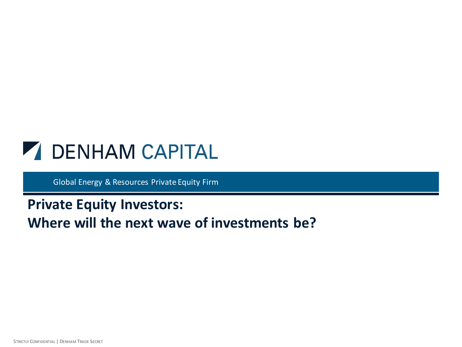

Global Energy & Resources Private Equity Firm

## **Private Equity Investors: Where will the next wave of investments be?**

STRICTLY CONFIDENTIAL | DENHAM TRADE SECRET 1 STRICTLY CONFIDENTIAL | DENHAM TRADE SECRET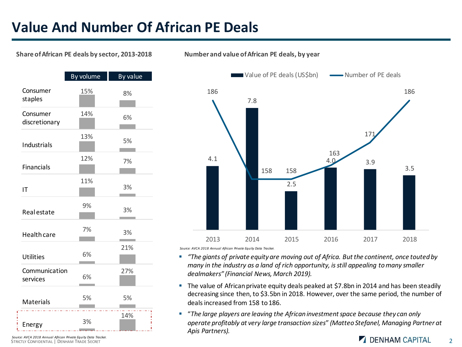## **Value And Number Of African PE Deals**

#### **Share of African PE deals by sector, 2013-2018**



**Number and value of African PE deals, by year**



*Source: AVCA 2018 Annual African Private Equity Data Tracker.*

- *"The giants of private equity are moving out of Africa. But the continent, once touted by many in the industry as a land of rich opportunity, is still appealing to many smaller dealmakers" (Financial News, March 2019).*
- The value of African private equity deals peaked at \$7.8bn in 2014 and has been steadily decreasing since then, to \$3.5bn in 2018. However, over the same period, the number of deals increased from 158 to 186.
- "*The large players are leaving the African investment space because they can only operate profitably at very large transaction sizes*" *(Matteo Stefanel, Managing Partner at Apis Partners).*

Source: AVCA 2018 Annual African Private Equity Data Tracker.<br>STRICTLY CONFIDENTIAL | DENHAM TRADE SECRET 2 *Source: AVCA 2018 Annual African Private Equity Data Tracker.*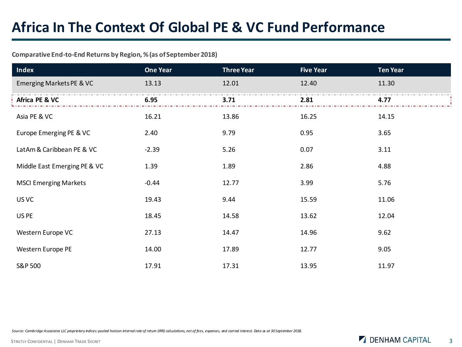## **Africa In The Context Of Global PE & VC Fund Performance**

### **Comparative End-to-End Returns by Region, % (as of September 2018)**

| <b>Index</b>                 | <b>One Year</b> | <b>Three Year</b> | <b>Five Year</b> | <b>Ten Year</b> |
|------------------------------|-----------------|-------------------|------------------|-----------------|
| Emerging Markets PE & VC     | 13.13           | 12.01             | 12.40            | 11.30           |
| Africa PE & VC               | 6.95            | 3.71              | 2.81             | 4.77            |
| Asia PE & VC                 | 16.21           | 13.86             | 16.25            | 14.15           |
| Europe Emerging PE & VC      | 2.40            | 9.79              | 0.95             | 3.65            |
| LatAm & Caribbean PE & VC    | $-2.39$         | 5.26              | 0.07             | 3.11            |
| Middle East Emerging PE & VC | 1.39            | 1.89              | 2.86             | 4.88            |
| <b>MSCI Emerging Markets</b> | $-0.44$         | 12.77             | 3.99             | 5.76            |
| US VC                        | 19.43           | 9.44              | 15.59            | 11.06           |
| US PE                        | 18.45           | 14.58             | 13.62            | 12.04           |
| Western Europe VC            | 27.13           | 14.47             | 14.96            | 9.62            |
| Western Europe PE            | 14.00           | 17.89             | 12.77            | 9.05            |
| S&P 500                      | 17.91           | 17.31             | 13.95            | 11.97           |

*Source: Cambridge Associates LLC proprietary indices: pooled horizon internal rate of return (IRR) calculations, net of fees, expenses, and carried interest. Data as at 30 September 2018.*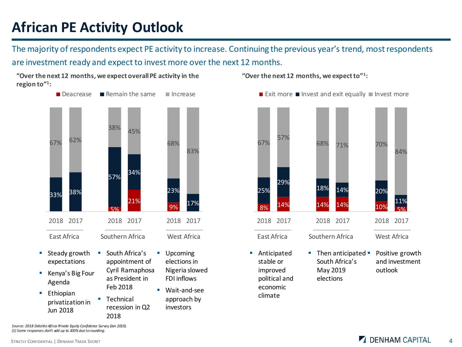# **African PE Activity Outlook**

The majority of respondents expect PE activity to increase. Continuing the previous year's trend, most respondents are investment ready and expect to invest more over the next 12 months.



recession in Q2

investors

2018

**"Over the next 12 months, we expect overall PE activity in the region to"<sup>1</sup> :**

**"Over the next 12 months, we expect to"<sup>1</sup> :**

political and economic climate



elections

*Source: 2018 Deloitte Africa Private Equity Confidence Survey (Jan 2019). (1) Some responses don't add up to 100% due to rounding.*

Jun 2018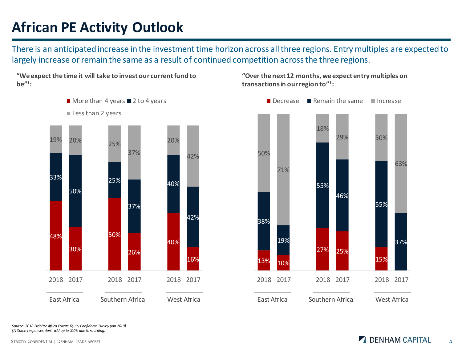# **African PE Activity Outlook**

There is an anticipated increase in the investment time horizon across all three regions. Entry multiples are expected to largely increase or remain the same as a result of continued competition across the three regions.



**"We expect the time it will take to invest our current fund to be"<sup>1</sup> :**

**"Over the next 12 months, we expect entry multiples on transactions in our region to"<sup>1</sup> :**



*Source: 2018 Deloitte Africa Private Equity Confidence Survey (Jan 2019). (1) Some responses don't add up to 100% due to rounding.*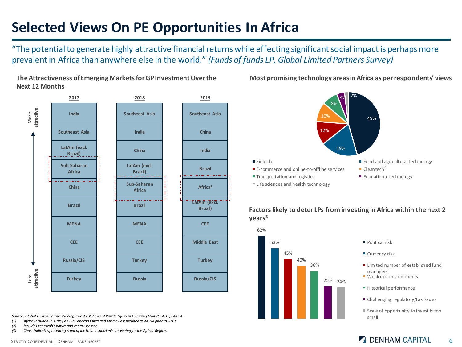# **Selected Views On PE Opportunities In Africa**

"The potential to generate highly attractive financial returns while effecting significant social impact is perhaps more prevalent in Africa than anywhere else in the world." *(Funds of funds LP, Global Limited Partners Survey)*



**The Attractiveness of Emerging Markets for GP Investment Over the Next 12 Months**

*Source: Global Limited Partners Survey, Investors' Views of Private Equity in Emerging Markets 2019, EMPEA.*

- *(1) Africa included in survey as Sub-Saharan Africa and Middle East included as MENA prior to 2019.*
- *(2) Includes renewable power and energy storage.*
- *(3) Chart indicates percentages out of the total respondents answering for the African Region.*



#### **Most promising technology areas in Africa as per respondents' views**

#### **Factors likely to deter LPs from investing in Africa within the next 2 years<sup>3</sup>**



- 
- 
- **E** Limited number of established fund
- Weak exit environments
- Historical performance
- $\blacksquare$  Challenging regulatory/tax issues
- Scale of opportunity to invest is too

## STRICTLY CONFIDENTIAL | DENHAM TRADE SECRET 6 6 CONFIDENTIAL CONFIDENTIAL 6 6 CAPITAL 6 6 CAPITAL 6 6 CAPITAL CONFIDENTIAL 1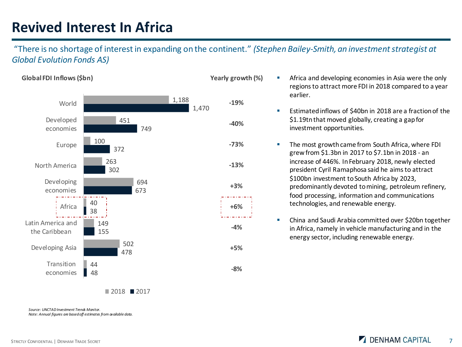## **Revived Interest In Africa**

"There is no shortage of interest in expanding on the continent." *(Stephen Bailey-Smith, an investment strategist at Global Evolution Fonds AS)*



- Africa and developing economies in Asia were the only regions to attract more FDI in 2018 compared to a year earlier.
- Estimated inflows of \$40bn in 2018 are a fraction of the \$1.19tn that moved globally, creating a gap for investment opportunities.
- The most growth came from South Africa, where FDI grew from \$1.3bn in 2017 to \$7.1bn in 2018 - an increase of 446%. In February 2018, newly elected president Cyril Ramaphosa said he aims to attract \$100bn investment to South Africa by 2023, predominantly devoted to mining, petroleum refinery, food processing, information and communications technologies, and renewable energy.
- China and Saudi Arabia committed over \$20bn together in Africa, namely in vehicle manufacturing and in the energy sector, including renewable energy.

*Source: UNCTAD Investment Trends Monitor. Note: Annual figures are based off estimates from available data.*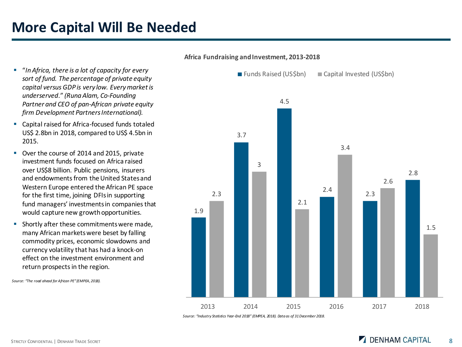# **More Capital Will Be Needed**

- "*In Africa, there is a lot of capacity for every sort of fund. The percentage of private equity capital versus GDP is very low. Every market is underserved*." *(Runa Alam, Co-Founding Partner and CEO of pan-African private equity firm Development Partners International).*
- Capital raised for Africa-focused funds totaled US\$ 2.8bn in 2018, compared to US\$ 4.5bn in 2015.
- Over the course of 2014 and 2015, private investment funds focused on Africa raised over US\$8 billion. Public pensions, insurers and endowments from the United States and Western Europe entered the African PE space for the first time, joining DFIs in supporting fund managers' investments in companies that would capture new growth opportunities.
- **E** Shortly after these commitments were made, many African markets were beset by falling commodity prices, economic slowdowns and currency volatility that has had a knock-on effect on the investment environment and return prospects in the region.



■ Funds Raised (US\$bn) ■ Capital Invested (US\$bn)

**Africa Fundraising and Investment, 2013-2018**

*Source: "Industry Statistics Year-End 2018" (EMPEA, 2018). Data as of 31 December 2018.*

*Source: "The road ahead for African PE" (EMPEA, 2018).*

## STRICTLY CONFIDENTIAL | DENHAM TRADE SECRET 8 8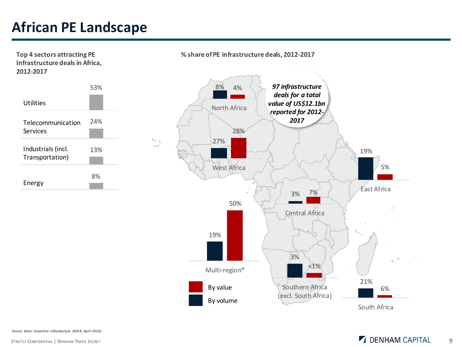# **African PE Landscape**

**Top 4 sectors attracting PE Infrastructure deals in Africa, 2012-2017**



 $\mathcal{H}_{\alpha-\frac{1}{2}}$ a br

**% share of PE infrastructure deals, 2012-2017**



*Source: Sector Snapshot: Infrastructure (AVCA, April 2018).*

### STRICTLY CONFIDENTIAL | DENHAM TRADE SECRET 9 | 9 | DENHAM CAPITAL 9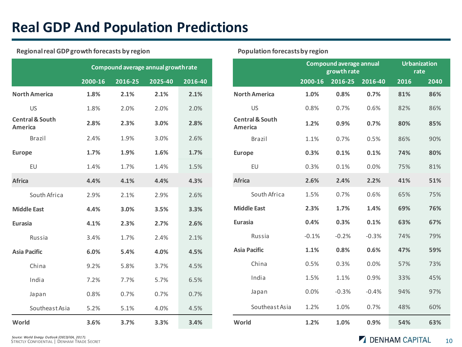# **Real GDP And Population Predictions**

### **Regional real GDP growth forecasts by region**

|                                       | Compound average annual growthrate |         |         |         |  |  |  |
|---------------------------------------|------------------------------------|---------|---------|---------|--|--|--|
|                                       | 2000-16                            | 2016-25 | 2025-40 | 2016-40 |  |  |  |
| <b>North America</b>                  | 1.8%                               | 2.1%    | 2.1%    | 2.1%    |  |  |  |
| <b>US</b>                             | 1.8%                               | 2.0%    | 2.0%    | 2.0%    |  |  |  |
| <b>Central &amp; South</b><br>America | 2.8%                               | 2.3%    | 3.0%    | 2.8%    |  |  |  |
| Brazil                                | 2.4%                               | 1.9%    | 3.0%    | 2.6%    |  |  |  |
| <b>Europe</b>                         | 1.7%                               | 1.9%    | 1.6%    | 1.7%    |  |  |  |
| EU                                    | 1.4%                               | 1.7%    | 1.4%    | 1.5%    |  |  |  |
| Africa                                | 4.4%                               | 4.1%    | 4.4%    | 4.3%    |  |  |  |
| South Africa                          | 2.9%                               | 2.1%    | 2.9%    | 2.6%    |  |  |  |
| <b>Middle East</b>                    | 4.4%                               | 3.0%    | 3.5%    | 3.3%    |  |  |  |
| <b>Eurasia</b>                        | 4.1%                               | 2.3%    | 2.7%    | 2.6%    |  |  |  |
| Russia                                | 3.4%                               | 1.7%    | 2.4%    | 2.1%    |  |  |  |
| <b>Asia Pacific</b>                   | 6.0%                               | 5.4%    | 4.0%    | 4.5%    |  |  |  |
| China                                 | 9.2%                               | 5.8%    | 3.7%    | 4.5%    |  |  |  |
| India                                 | 7.2%                               | 7.7%    | 5.7%    | 6.5%    |  |  |  |
| Japan                                 | 0.8%                               | 0.7%    | 0.7%    | 0.7%    |  |  |  |
| Southeast Asia                        | 5.2%                               | 5.1%    | 4.0%    | 4.5%    |  |  |  |
| World                                 | 3.6%                               | 3.7%    | 3.3%    | 3.4%    |  |  |  |

#### **Population forecasts by region**

|                                       | <b>Compound average annual</b><br>growth rate |         |         | <b>Urbanization</b><br>rate |      |
|---------------------------------------|-----------------------------------------------|---------|---------|-----------------------------|------|
|                                       | 2000-16                                       | 2016-25 | 2016-40 | 2016                        | 2040 |
| <b>North America</b>                  | 1.0%                                          | 0.8%    | 0.7%    | 81%                         | 86%  |
| US                                    | 0.8%                                          | 0.7%    | 0.6%    | 82%                         | 86%  |
| <b>Central &amp; South</b><br>America | 1.2%                                          | 0.9%    | 0.7%    | 80%                         | 85%  |
| Brazil                                | 1.1%                                          | 0.7%    | 0.5%    | 86%                         | 90%  |
| <b>Europe</b>                         | 0.3%                                          | 0.1%    | 0.1%    | 74%                         | 80%  |
| EU                                    | 0.3%                                          | 0.1%    | 0.0%    | 75%                         | 81%  |
| <b>Africa</b>                         | 2.6%                                          | 2.4%    | 2.2%    | 41%                         | 51%  |
| South Africa                          | 1.5%                                          | 0.7%    | 0.6%    | 65%                         | 75%  |
| <b>Middle East</b>                    | 2.3%                                          | 1.7%    | 1.4%    | 69%                         | 76%  |
| <b>Eurasia</b>                        | 0.4%                                          | 0.3%    | 0.1%    | 63%                         | 67%  |
| Russia                                | $-0.1%$                                       | $-0.2%$ | $-0.3%$ | 74%                         | 79%  |
| <b>Asia Pacific</b>                   | 1.1%                                          | 0.8%    | 0.6%    | 47%                         | 59%  |
| China                                 | 0.5%                                          | 0.3%    | 0.0%    | 57%                         | 73%  |
| India                                 | 1.5%                                          | 1.1%    | 0.9%    | 33%                         | 45%  |
| Japan                                 | 0.0%                                          | $-0.3%$ | $-0.4%$ | 94%                         | 97%  |
| Southeast Asia                        | 1.2%                                          | 1.0%    | 0.7%    | 48%                         | 60%  |
| World                                 | 1.2%                                          | 1.0%    | 0.9%    | 54%                         | 63%  |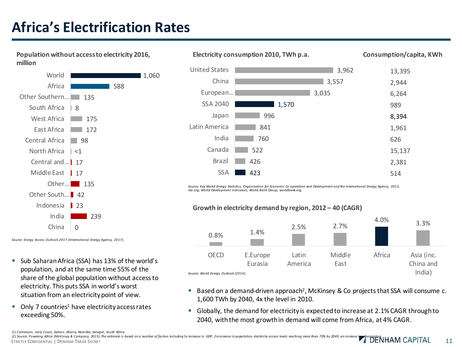# **Africa's Electrification Rates**



*Source: Energy Access Outlook 2017 (International Energy Agency, 2017).*

- Sub Saharan Africa (SSA) has 13% of the world's population, and at the same time 55% of the share of the global population without access to electricity. This puts SSA in world's worst situation from an electricity point of view.
- $\blacksquare$  Only 7 countries<sup>1</sup> have electricity access rates exceeding 50%.



*Source: Key World Energy Statistics, Organization for Economic Co -operation and Development and the International Energy Agency, 2013, iea.org; World Development indicators, World Bank Group, worldbank.org.*



- Based on a demand-driven approach<sup>2</sup>, McKinsey & Co projects that SSA will consume c. 1,600 TWh by 2040, 4x the level in 2010.
- Globally, the demand for electricity is expected to increase at 2.1% CAGR through to 2040, with the most growth in demand will come from Africa, at 4% CAGR.

STRICTLY CONFIDENTIAL | DENHAM TRADE SECRET **11 STRICTLY CONFIDENTIAL INCOLLERATION CAPILLAL** 11 (1) Cameroon, Ivory Coast, Gabon, Ghana, Namibia, Senegal, South Africa.<br>(2) Source: Powering Africa (McKinsey & Company, 2015). The estimate is based on a number of factors including 5x increase in GDP, 2xincrease in popu